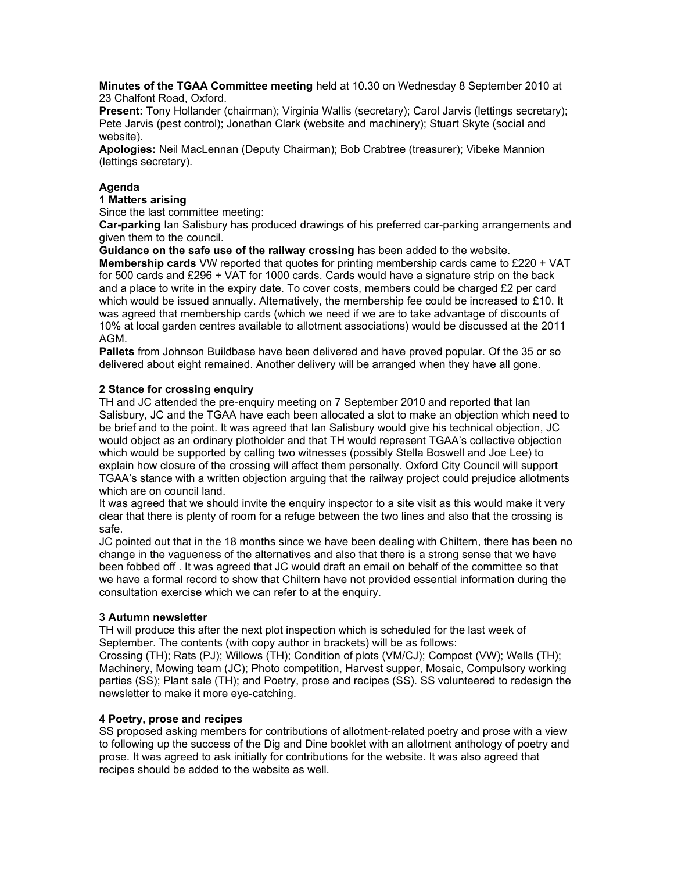**Minutes of the TGAA Committee meeting** held at 10.30 on Wednesday 8 September 2010 at 23 Chalfont Road, Oxford.

**Present:** Tony Hollander (chairman); Virginia Wallis (secretary); Carol Jarvis (lettings secretary); Pete Jarvis (pest control); Jonathan Clark (website and machinery); Stuart Skyte (social and website).

**Apologies:** Neil MacLennan (Deputy Chairman); Bob Crabtree (treasurer); Vibeke Mannion (lettings secretary).

# **Agenda**

# **1 Matters arising**

Since the last committee meeting:

**Car-parking** Ian Salisbury has produced drawings of his preferred car-parking arrangements and given them to the council.

**Guidance on the safe use of the railway crossing** has been added to the website. **Membership cards** VW reported that quotes for printing membership cards came to £220 + VAT for 500 cards and £296 + VAT for 1000 cards. Cards would have a signature strip on the back and a place to write in the expiry date. To cover costs, members could be charged £2 per card which would be issued annually. Alternatively, the membership fee could be increased to £10. It was agreed that membership cards (which we need if we are to take advantage of discounts of 10% at local garden centres available to allotment associations) would be discussed at the 2011 AGM.

**Pallets** from Johnson Buildbase have been delivered and have proved popular. Of the 35 or so delivered about eight remained. Another delivery will be arranged when they have all gone.

# **2 Stance for crossing enquiry**

TH and JC attended the pre-enquiry meeting on 7 September 2010 and reported that Ian Salisbury, JC and the TGAA have each been allocated a slot to make an objection which need to be brief and to the point. It was agreed that Ian Salisbury would give his technical objection, JC would object as an ordinary plotholder and that TH would represent TGAA's collective objection which would be supported by calling two witnesses (possibly Stella Boswell and Joe Lee) to explain how closure of the crossing will affect them personally. Oxford City Council will support TGAA's stance with a written objection arguing that the railway project could prejudice allotments which are on council land.

It was agreed that we should invite the enquiry inspector to a site visit as this would make it very clear that there is plenty of room for a refuge between the two lines and also that the crossing is safe.

JC pointed out that in the 18 months since we have been dealing with Chiltern, there has been no change in the vagueness of the alternatives and also that there is a strong sense that we have been fobbed off . It was agreed that JC would draft an email on behalf of the committee so that we have a formal record to show that Chiltern have not provided essential information during the consultation exercise which we can refer to at the enquiry.

### **3 Autumn newsletter**

TH will produce this after the next plot inspection which is scheduled for the last week of September. The contents (with copy author in brackets) will be as follows:

Crossing (TH); Rats (PJ); Willows (TH); Condition of plots (VM/CJ); Compost (VW); Wells (TH); Machinery, Mowing team (JC); Photo competition, Harvest supper, Mosaic, Compulsory working parties (SS); Plant sale (TH); and Poetry, prose and recipes (SS). SS volunteered to redesign the newsletter to make it more eye-catching.

### **4 Poetry, prose and recipes**

SS proposed asking members for contributions of allotment-related poetry and prose with a view to following up the success of the Dig and Dine booklet with an allotment anthology of poetry and prose. It was agreed to ask initially for contributions for the website. It was also agreed that recipes should be added to the website as well.